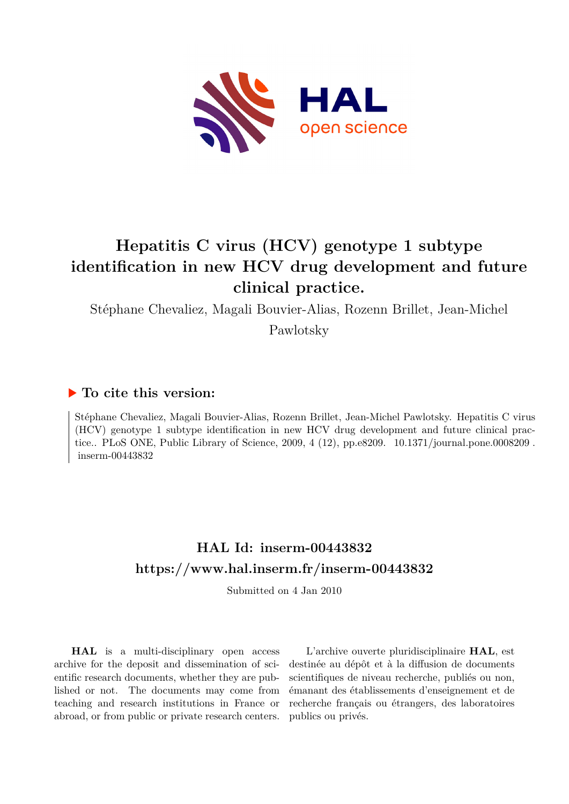

# **Hepatitis C virus (HCV) genotype 1 subtype identification in new HCV drug development and future clinical practice.**

Stéphane Chevaliez, Magali Bouvier-Alias, Rozenn Brillet, Jean-Michel

Pawlotsky

## **To cite this version:**

Stéphane Chevaliez, Magali Bouvier-Alias, Rozenn Brillet, Jean-Michel Pawlotsky. Hepatitis C virus (HCV) genotype 1 subtype identification in new HCV drug development and future clinical practice.. PLoS ONE, Public Library of Science, 2009, 4 (12), pp.e8209. 10.1371/journal.pone.0008209.  $inserm-00443832$ 

## **HAL Id: inserm-00443832 <https://www.hal.inserm.fr/inserm-00443832>**

Submitted on 4 Jan 2010

**HAL** is a multi-disciplinary open access archive for the deposit and dissemination of scientific research documents, whether they are published or not. The documents may come from teaching and research institutions in France or abroad, or from public or private research centers.

L'archive ouverte pluridisciplinaire **HAL**, est destinée au dépôt et à la diffusion de documents scientifiques de niveau recherche, publiés ou non, émanant des établissements d'enseignement et de recherche français ou étrangers, des laboratoires publics ou privés.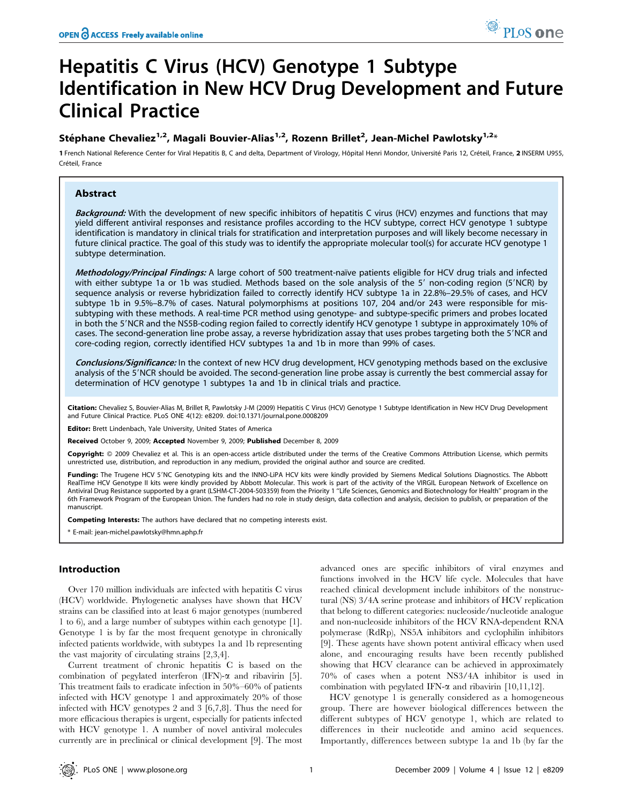## Hepatitis C Virus (HCV) Genotype 1 Subtype Identification in New HCV Drug Development and Future Clinical Practice

## Stéphane Chevaliez $^{1,2}$ , Magali Bouvier-Alias $^{1,2}$ , Rozenn Brillet $^2$ , Jean-Michel Pawlotsky $^{1,2_\times}$

1 French National Reference Center for Viral Hepatitis B, C and delta, Department of Virology, Hôpital Henri Mondor, Université Paris 12, Créteil, France, 2 INSERM U955, Créteil, France

### Abstract

Background: With the development of new specific inhibitors of hepatitis C virus (HCV) enzymes and functions that may yield different antiviral responses and resistance profiles according to the HCV subtype, correct HCV genotype 1 subtype identification is mandatory in clinical trials for stratification and interpretation purposes and will likely become necessary in future clinical practice. The goal of this study was to identify the appropriate molecular tool(s) for accurate HCV genotype 1 subtype determination.

Methodology/Principal Findings: A large cohort of 500 treatment-naïve patients eligible for HCV drug trials and infected with either subtype 1a or 1b was studied. Methods based on the sole analysis of the 5' non-coding region (5'NCR) by sequence analysis or reverse hybridization failed to correctly identify HCV subtype 1a in 22.8%–29.5% of cases, and HCV subtype 1b in 9.5%–8.7% of cases. Natural polymorphisms at positions 107, 204 and/or 243 were responsible for missubtyping with these methods. A real-time PCR method using genotype- and subtype-specific primers and probes located in both the 5'NCR and the NS5B-coding region failed to correctly identify HCV genotype 1 subtype in approximately 10% of cases. The second-generation line probe assay, a reverse hybridization assay that uses probes targeting both the 5<sup>7</sup>NCR and core-coding region, correctly identified HCV subtypes 1a and 1b in more than 99% of cases.

Conclusions/Significance: In the context of new HCV drug development, HCV genotyping methods based on the exclusive analysis of the 5'NCR should be avoided. The second-generation line probe assay is currently the best commercial assay for determination of HCV genotype 1 subtypes 1a and 1b in clinical trials and practice.

Citation: Chevaliez S, Bouvier-Alias M, Brillet R, Pawlotsky J-M (2009) Hepatitis C Virus (HCV) Genotype 1 Subtype Identification in New HCV Drug Development and Future Clinical Practice. PLoS ONE 4(12): e8209. doi:10.1371/journal.pone.0008209

Editor: Brett Lindenbach, Yale University, United States of America

Received October 9, 2009; Accepted November 9, 2009; Published December 8, 2009

Copyright: @ 2009 Chevaliez et al. This is an open-access article distributed under the terms of the Creative Commons Attribution License, which permits unrestricted use, distribution, and reproduction in any medium, provided the original author and source are credited.

Funding: The Trugene HCV 5'NC Genotyping kits and the INNO-LiPA HCV kits were kindly provided by Siemens Medical Solutions Diagnostics. The Abbott RealTime HCV Genotype II kits were kindly provided by Abbott Molecular. This work is part of the activity of the VIRGIL European Network of Excellence on<br>Antiviral Drug Resistance supported by a grant (LSHM-CT-2004-503359) 6th Framework Program of the European Union. The funders had no role in study design, data collection and analysis, decision to publish, or preparation of the manuscript.

Competing Interests: The authors have declared that no competing interests exist.

\* E-mail: jean-michel.pawlotsky@hmn.aphp.fr

### Introduction

Over 170 million individuals are infected with hepatitis C virus (HCV) worldwide. Phylogenetic analyses have shown that HCV strains can be classified into at least 6 major genotypes (numbered 1 to 6), and a large number of subtypes within each genotype [1]. Genotype 1 is by far the most frequent genotype in chronically infected patients worldwide, with subtypes 1a and 1b representing the vast majority of circulating strains [2,3,4].

Current treatment of chronic hepatitis C is based on the combination of pegylated interferon (IFN)- $\alpha$  and ribavirin [5]. This treatment fails to eradicate infection in 50%–60% of patients infected with HCV genotype 1 and approximately 20% of those infected with HCV genotypes 2 and 3 [6,7,8]. Thus the need for more efficacious therapies is urgent, especially for patients infected with HCV genotype 1. A number of novel antiviral molecules currently are in preclinical or clinical development [9]. The most advanced ones are specific inhibitors of viral enzymes and functions involved in the HCV life cycle. Molecules that have reached clinical development include inhibitors of the nonstructural (NS) 3/4A serine protease and inhibitors of HCV replication that belong to different categories: nucleoside/nucleotide analogue and non-nucleoside inhibitors of the HCV RNA-dependent RNA polymerase (RdRp), NS5A inhibitors and cyclophilin inhibitors [9]. These agents have shown potent antiviral efficacy when used alone, and encouraging results have been recently published showing that HCV clearance can be achieved in approximately 70% of cases when a potent NS3/4A inhibitor is used in combination with pegylated IFN- $\alpha$  and ribavirin [10,11,12].

HCV genotype 1 is generally considered as a homogeneous group. There are however biological differences between the different subtypes of HCV genotype 1, which are related to differences in their nucleotide and amino acid sequences. Importantly, differences between subtype 1a and 1b (by far the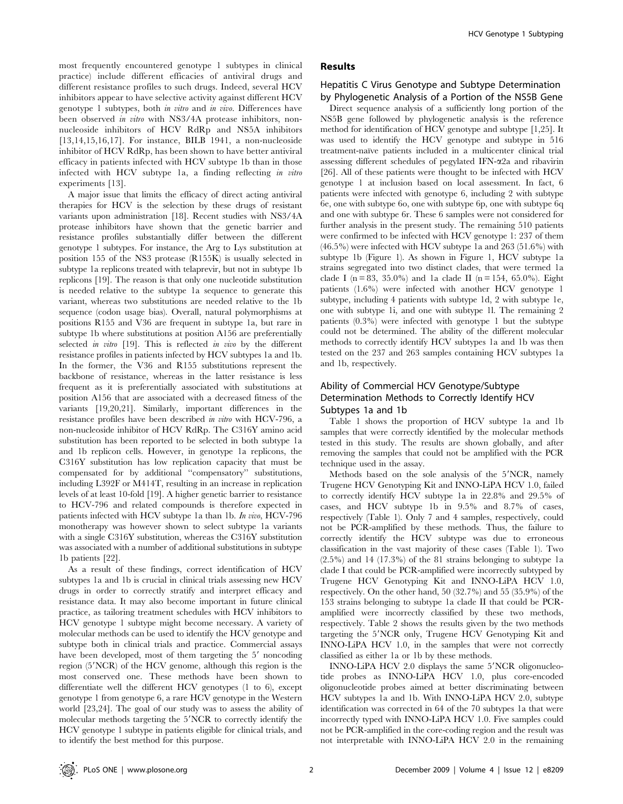most frequently encountered genotype 1 subtypes in clinical practice) include different efficacies of antiviral drugs and different resistance profiles to such drugs. Indeed, several HCV inhibitors appear to have selective activity against different HCV genotype 1 subtypes, both in vitro and in vivo. Differences have been observed in vitro with NS3/4A protease inhibitors, nonnucleoside inhibitors of HCV RdRp and NS5A inhibitors [13,14,15,16,17]. For instance, BILB 1941, a non-nucleoside inhibitor of HCV RdRp, has been shown to have better antiviral efficacy in patients infected with HCV subtype 1b than in those infected with HCV subtype 1a, a finding reflecting in vitro experiments [13].

A major issue that limits the efficacy of direct acting antiviral therapies for HCV is the selection by these drugs of resistant variants upon administration [18]. Recent studies with NS3/4A protease inhibitors have shown that the genetic barrier and resistance profiles substantially differ between the different genotype 1 subtypes. For instance, the Arg to Lys substitution at position 155 of the NS3 protease (R155K) is usually selected in subtype 1a replicons treated with telaprevir, but not in subtype 1b replicons [19]. The reason is that only one nucleotide substitution is needed relative to the subtype 1a sequence to generate this variant, whereas two substitutions are needed relative to the 1b sequence (codon usage bias). Overall, natural polymorphisms at positions R155 and V36 are frequent in subtype 1a, but rare in subtype 1b where substitutions at position A156 are preferentially selected in vitro [19]. This is reflected in vivo by the different resistance profiles in patients infected by HCV subtypes 1a and 1b. In the former, the V36 and R155 substitutions represent the backbone of resistance, whereas in the latter resistance is less frequent as it is preferentially associated with substitutions at position A156 that are associated with a decreased fitness of the variants [19,20,21]. Similarly, important differences in the resistance profiles have been described in vitro with HCV-796, a non-nucleoside inhibitor of HCV RdRp. The C316Y amino acid substitution has been reported to be selected in both subtype 1a and 1b replicon cells. However, in genotype 1a replicons, the C316Y substitution has low replication capacity that must be compensated for by additional ''compensatory'' substitutions, including L392F or M414T, resulting in an increase in replication levels of at least 10-fold [19]. A higher genetic barrier to resistance to HCV-796 and related compounds is therefore expected in patients infected with HCV subtype 1a than 1b. In vivo, HCV-796 monotherapy was however shown to select subtype 1a variants with a single C316Y substitution, whereas the C316Y substitution was associated with a number of additional substitutions in subtype 1b patients [22].

As a result of these findings, correct identification of HCV subtypes 1a and 1b is crucial in clinical trials assessing new HCV drugs in order to correctly stratify and interpret efficacy and resistance data. It may also become important in future clinical practice, as tailoring treatment schedules with HCV inhibitors to HCV genotype 1 subtype might become necessary. A variety of molecular methods can be used to identify the HCV genotype and subtype both in clinical trials and practice. Commercial assays have been developed, most of them targeting the 5' noncoding region (5'NCR) of the HCV genome, although this region is the most conserved one. These methods have been shown to differentiate well the different HCV genotypes (1 to 6), except genotype 1 from genotype 6, a rare HCV genotype in the Western world [23,24]. The goal of our study was to assess the ability of molecular methods targeting the 5'NCR to correctly identify the HCV genotype 1 subtype in patients eligible for clinical trials, and to identify the best method for this purpose.

#### Results

#### Hepatitis C Virus Genotype and Subtype Determination by Phylogenetic Analysis of a Portion of the NS5B Gene

Direct sequence analysis of a sufficiently long portion of the NS5B gene followed by phylogenetic analysis is the reference method for identification of HCV genotype and subtype [1,25]. It was used to identify the HCV genotype and subtype in 516 treatment-naïve patients included in a multicenter clinical trial assessing different schedules of pegylated IFN- $\alpha$ 2a and ribavirin [26]. All of these patients were thought to be infected with HCV genotype 1 at inclusion based on local assessment. In fact, 6 patients were infected with genotype 6, including 2 with subtype 6e, one with subtype 6o, one with subtype 6p, one with subtype 6q and one with subtype 6r. These 6 samples were not considered for further analysis in the present study. The remaining 510 patients were confirmed to be infected with HCV genotype 1: 237 of them (46.5%) were infected with HCV subtype 1a and 263 (51.6%) with subtype 1b (Figure 1). As shown in Figure 1, HCV subtype 1a strains segregated into two distinct clades, that were termed 1a clade I (n = 83, 35.0%) and 1a clade II (n = 154, 65.0%). Eight patients (1.6%) were infected with another HCV genotype 1 subtype, including 4 patients with subtype 1d, 2 with subtype 1e, one with subtype 1i, and one with subtype 1l. The remaining 2 patients (0.3%) were infected with genotype 1 but the subtype could not be determined. The ability of the different molecular methods to correctly identify HCV subtypes 1a and 1b was then tested on the 237 and 263 samples containing HCV subtypes 1a and 1b, respectively.

## Ability of Commercial HCV Genotype/Subtype Determination Methods to Correctly Identify HCV Subtypes 1a and 1b

Table 1 shows the proportion of HCV subtype 1a and 1b samples that were correctly identified by the molecular methods tested in this study. The results are shown globally, and after removing the samples that could not be amplified with the PCR technique used in the assay.

Methods based on the sole analysis of the 5'NCR, namely Trugene HCV Genotyping Kit and INNO-LiPA HCV 1.0, failed to correctly identify HCV subtype 1a in 22.8% and 29.5% of cases, and HCV subtype 1b in 9.5% and 8.7% of cases, respectively (Table 1). Only 7 and 4 samples, respectively, could not be PCR-amplified by these methods. Thus, the failure to correctly identify the HCV subtype was due to erroneous classification in the vast majority of these cases (Table 1). Two (2.5%) and 14 (17.3%) of the 81 strains belonging to subtype 1a clade I that could be PCR-amplified were incorrectly subtyped by Trugene HCV Genotyping Kit and INNO-LiPA HCV 1.0, respectively. On the other hand, 50 (32.7%) and 55 (35.9%) of the 153 strains belonging to subtype 1a clade II that could be PCRamplified were incorrectly classified by these two methods, respectively. Table 2 shows the results given by the two methods targeting the 5'NCR only, Trugene HCV Genotyping Kit and INNO-LiPA HCV 1.0, in the samples that were not correctly classified as either 1a or 1b by these methods.

INNO-LiPA HCV 2.0 displays the same 5'NCR oligonucleotide probes as INNO-LiPA HCV 1.0, plus core-encoded oligonucleotide probes aimed at better discriminating between HCV subtypes 1a and 1b. With INNO-LiPA HCV 2.0, subtype identification was corrected in 64 of the 70 subtypes 1a that were incorrectly typed with INNO-LiPA HCV 1.0. Five samples could not be PCR-amplified in the core-coding region and the result was not interpretable with INNO-LiPA HCV 2.0 in the remaining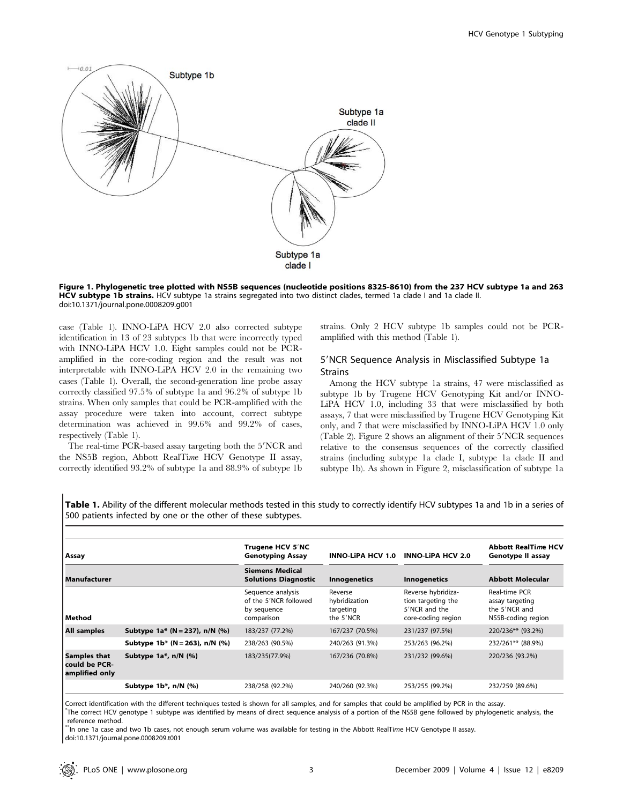

Figure 1. Phylogenetic tree plotted with NS5B sequences (nucleotide positions 8325-8610) from the 237 HCV subtype 1a and 263 HCV subtype 1b strains. HCV subtype 1a strains segregated into two distinct clades, termed 1a clade I and 1a clade II. doi:10.1371/journal.pone.0008209.g001

case (Table 1). INNO-LiPA HCV 2.0 also corrected subtype identification in 13 of 23 subtypes 1b that were incorrectly typed with INNO-LiPA HCV 1.0. Eight samples could not be PCRamplified in the core-coding region and the result was not interpretable with INNO-LiPA HCV 2.0 in the remaining two cases (Table 1). Overall, the second-generation line probe assay correctly classified 97.5% of subtype 1a and 96.2% of subtype 1b strains. When only samples that could be PCR-amplified with the assay procedure were taken into account, correct subtype determination was achieved in 99.6% and 99.2% of cases, respectively (Table 1).

The real-time PCR-based assay targeting both the 5'NCR and the NS5B region, Abbott RealTime HCV Genotype II assay, correctly identified 93.2% of subtype 1a and 88.9% of subtype 1b

strains. Only 2 HCV subtype 1b samples could not be PCRamplified with this method (Table 1).

#### 5'NCR Sequence Analysis in Misclassified Subtype 1a **Strains**

Among the HCV subtype 1a strains, 47 were misclassified as subtype 1b by Trugene HCV Genotyping Kit and/or INNO-LiPA HCV 1.0, including 33 that were misclassified by both assays, 7 that were misclassified by Trugene HCV Genotyping Kit only, and 7 that were misclassified by INNO-LiPA HCV 1.0 only (Table 2). Figure 2 shows an alignment of their  $5'NCR$  sequences relative to the consensus sequences of the correctly classified strains (including subtype 1a clade I, subtype 1a clade II and subtype 1b). As shown in Figure 2, misclassification of subtype 1a

| Assay                                                  |                                   | Trugene HCV 5'NC<br><b>Genotyping Assay</b>                             | <b>INNO-LIPA HCV 1.0</b>                           | <b>INNO-LIPA HCV 2.0</b>                                                        | <b>Abbott RealTime HCV</b><br>Genotype II assay                         |  |
|--------------------------------------------------------|-----------------------------------|-------------------------------------------------------------------------|----------------------------------------------------|---------------------------------------------------------------------------------|-------------------------------------------------------------------------|--|
| l Manufacturer                                         |                                   | <b>Siemens Medical</b><br><b>Solutions Diagnostic</b>                   | <b>Innogenetics</b>                                | Innogenetics                                                                    | <b>Abbott Molecular</b>                                                 |  |
| l Method                                               |                                   | Sequence analysis<br>of the 5'NCR followed<br>by sequence<br>comparison | Reverse<br>hybridization<br>targeting<br>the 5'NCR | Reverse hybridiza-<br>tion targeting the<br>5'NCR and the<br>core-coding region | Real-time PCR<br>assay targeting<br>the 5'NCR and<br>NS5B-coding region |  |
| <b>All samples</b>                                     | Subtype 1a* (N = 237), n/N (%)    | 183/237 (77.2%)                                                         | 167/237 (70.5%)                                    | 231/237 (97.5%)                                                                 | 220/236** (93.2%)                                                       |  |
|                                                        | Subtype $1b^*$ (N = 263), n/N (%) | 238/263 (90.5%)                                                         | 240/263 (91.3%)                                    | 253/263 (96.2%)                                                                 | 232/261** (88.9%)                                                       |  |
| <b>Samples that</b><br>could be PCR-<br>amplified only | Subtype $1a^*$ , n/N $(\%)$       | 183/235(77.9%)                                                          | 167/236 (70.8%)                                    | 231/232 (99.6%)                                                                 | 220/236 (93.2%)                                                         |  |
|                                                        | Subtype 1b*, n/N (%)              | 238/258 (92.2%)                                                         | 240/260 (92.3%)                                    | 253/255 (99.2%)                                                                 | 232/259 (89.6%)                                                         |  |

Table 1. Ability of the different molecular methods tested in this study to correctly identify HCV subtypes 1a and 1b in a series of 500 patients infected by one or the other of these subtypes.

Correct identification with the different techniques tested is shown for all samples, and for samples that could be amplified by PCR in the assay. \* The correct HCV genotype 1 subtype was identified by means of direct sequence analysis of a portion of the NS5B gene followed by phylogenetic analysis, the reference method.

\*In one 1a case and two 1b cases, not enough serum volume was available for testing in the Abbott RealTime HCV Genotype II assay. doi:10.1371/journal.pone.0008209.t001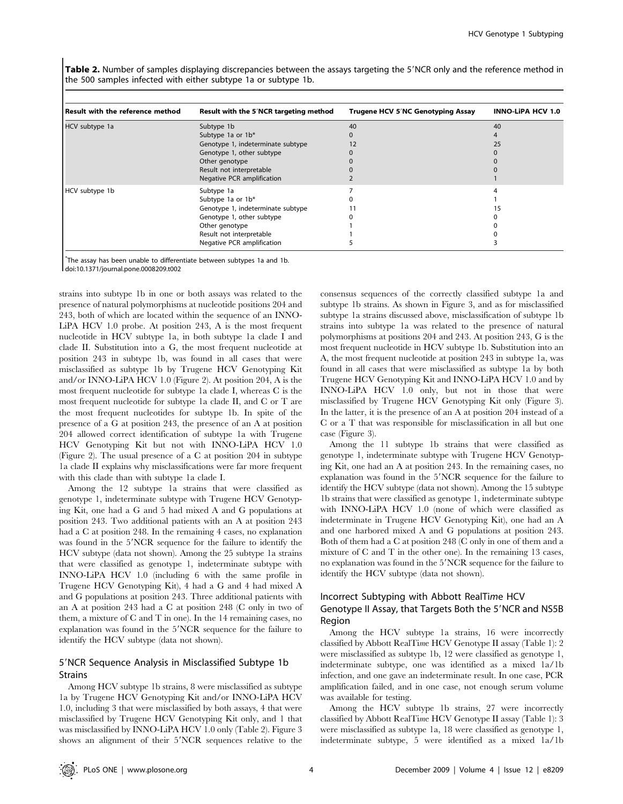Table 2. Number of samples displaying discrepancies between the assays targeting the 5'NCR only and the reference method in the 500 samples infected with either subtype 1a or subtype 1b.

| Result with the reference method | Result with the 5'NCR targeting method | Trugene HCV 5'NC Genotyping Assay | <b>INNO-LIPA HCV 1.0</b> |
|----------------------------------|----------------------------------------|-----------------------------------|--------------------------|
| HCV subtype 1a                   | Subtype 1b                             | 40                                | 40                       |
|                                  | Subtype 1a or 1b*                      |                                   |                          |
|                                  | Genotype 1, indeterminate subtype      | 12                                | 25                       |
|                                  | Genotype 1, other subtype              |                                   |                          |
|                                  | Other genotype                         |                                   |                          |
|                                  | Result not interpretable               |                                   |                          |
|                                  | Negative PCR amplification             |                                   |                          |
| HCV subtype 1b                   | Subtype 1a                             |                                   |                          |
|                                  | Subtype 1a or 1b*                      |                                   |                          |
|                                  | Genotype 1, indeterminate subtype      |                                   |                          |
|                                  | Genotype 1, other subtype              |                                   |                          |
|                                  | Other genotype                         |                                   |                          |
|                                  | Result not interpretable               |                                   |                          |
|                                  | Negative PCR amplification             |                                   |                          |

\* The assay has been unable to differentiate between subtypes 1a and 1b. doi:10.1371/journal.pone.0008209.t002

strains into subtype 1b in one or both assays was related to the presence of natural polymorphisms at nucleotide positions 204 and 243, both of which are located within the sequence of an INNO-LiPA HCV 1.0 probe. At position 243, A is the most frequent nucleotide in HCV subtype 1a, in both subtype 1a clade I and clade II. Substitution into a G, the most frequent nucleotide at position 243 in subtype 1b, was found in all cases that were misclassified as subtype 1b by Trugene HCV Genotyping Kit and/or INNO-LiPA HCV 1.0 (Figure 2). At position 204, A is the most frequent nucleotide for subtype 1a clade I, whereas C is the most frequent nucleotide for subtype 1a clade II, and C or T are the most frequent nucleotides for subtype 1b. In spite of the presence of a G at position 243, the presence of an A at position 204 allowed correct identification of subtype 1a with Trugene HCV Genotyping Kit but not with INNO-LiPA HCV 1.0 (Figure 2). The usual presence of a C at position 204 in subtype 1a clade II explains why misclassifications were far more frequent with this clade than with subtype 1a clade I.

Among the 12 subtype 1a strains that were classified as genotype 1, indeterminate subtype with Trugene HCV Genotyping Kit, one had a G and 5 had mixed A and G populations at position 243. Two additional patients with an A at position 243 had a C at position 248. In the remaining 4 cases, no explanation was found in the 5'NCR sequence for the failure to identify the HCV subtype (data not shown). Among the 25 subtype 1a strains that were classified as genotype 1, indeterminate subtype with INNO-LiPA HCV 1.0 (including 6 with the same profile in Trugene HCV Genotyping Kit), 4 had a G and 4 had mixed A and G populations at position 243. Three additional patients with an A at position 243 had a C at position 248 (C only in two of them, a mixture of C and T in one). In the 14 remaining cases, no explanation was found in the 5'NCR sequence for the failure to identify the HCV subtype (data not shown).

## 5'NCR Sequence Analysis in Misclassified Subtype 1b Strains

Among HCV subtype 1b strains, 8 were misclassified as subtype 1a by Trugene HCV Genotyping Kit and/or INNO-LiPA HCV 1.0, including 3 that were misclassified by both assays, 4 that were misclassified by Trugene HCV Genotyping Kit only, and 1 that was misclassified by INNO-LiPA HCV 1.0 only (Table 2). Figure 3 shows an alignment of their 5'NCR sequences relative to the consensus sequences of the correctly classified subtype 1a and subtype 1b strains. As shown in Figure 3, and as for misclassified subtype 1a strains discussed above, misclassification of subtype 1b strains into subtype 1a was related to the presence of natural polymorphisms at positions 204 and 243. At position 243, G is the most frequent nucleotide in HCV subtype 1b. Substitution into an A, the most frequent nucleotide at position 243 in subtype 1a, was found in all cases that were misclassified as subtype 1a by both Trugene HCV Genotyping Kit and INNO-LiPA HCV 1.0 and by INNO-LiPA HCV 1.0 only, but not in those that were misclassified by Trugene HCV Genotyping Kit only (Figure 3). In the latter, it is the presence of an A at position 204 instead of a C or a T that was responsible for misclassification in all but one case (Figure 3).

Among the 11 subtype 1b strains that were classified as genotype 1, indeterminate subtype with Trugene HCV Genotyping Kit, one had an A at position 243. In the remaining cases, no explanation was found in the 5'NCR sequence for the failure to identify the HCV subtype (data not shown). Among the 15 subtype 1b strains that were classified as genotype 1, indeterminate subtype with INNO-LiPA HCV 1.0 (none of which were classified as indeterminate in Trugene HCV Genotyping Kit), one had an A and one harbored mixed A and G populations at position 243. Both of them had a C at position 248 (C only in one of them and a mixture of C and T in the other one). In the remaining 13 cases, no explanation was found in the 5'NCR sequence for the failure to identify the HCV subtype (data not shown).

## Incorrect Subtyping with Abbott RealTime HCV Genotype II Assay, that Targets Both the 5'NCR and NS5B Region

Among the HCV subtype 1a strains, 16 were incorrectly classified by Abbott RealTime HCV Genotype II assay (Table 1): 2 were misclassified as subtype 1b, 12 were classified as genotype 1, indeterminate subtype, one was identified as a mixed 1a/1b infection, and one gave an indeterminate result. In one case, PCR amplification failed, and in one case, not enough serum volume was available for testing.

Among the HCV subtype 1b strains, 27 were incorrectly classified by Abbott RealTime HCV Genotype II assay (Table 1): 3 were misclassified as subtype 1a, 18 were classified as genotype 1, indeterminate subtype, 5 were identified as a mixed 1a/1b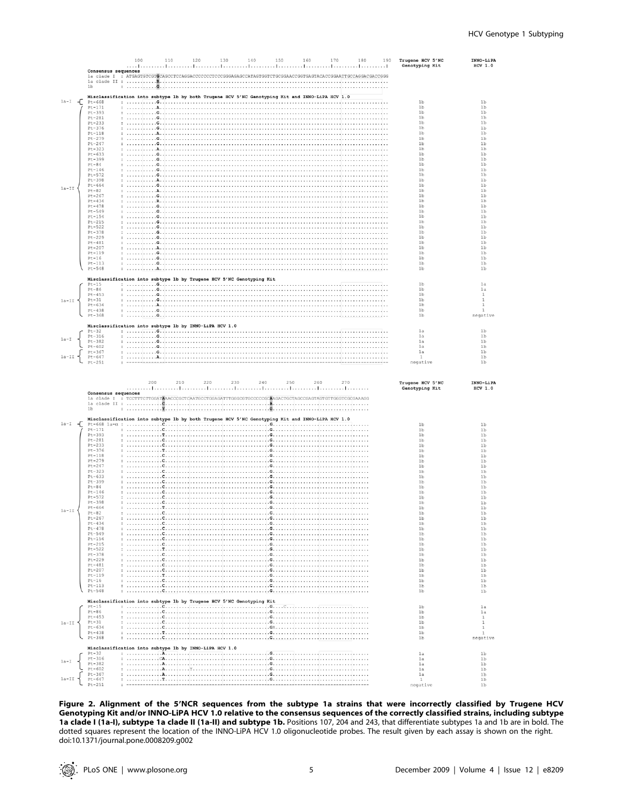|            | Consensus sequences                                                                                                          | 100<br>. 1 .   | 110                         | 120 | 130 | 140<br>. 1 1 1 1 1 1 | 150   | 160 | 170 | 180 | 190 | Trugene HCV 5'NC<br>Genotyping Kit | INNO-LiPA<br>HCV 1.0                               |
|------------|------------------------------------------------------------------------------------------------------------------------------|----------------|-----------------------------|-----|-----|----------------------|-------|-----|-----|-----|-----|------------------------------------|----------------------------------------------------|
|            | 1a clade I : ATGAGTGTCGTOCAGCCTCCAGGACCCCCCCCCCGGGAGAGCCATAGTGGTCTGCGGAACCGGTGAGTACACCGGAATTGCCAGGACGGCGGG<br>1 <sub>b</sub> |                |                             |     |     |                      |       |     |     |     |     |                                    |                                                    |
| $1a-1$ $-$ | Misclassification into subtype 1b by both Trugene HCV 5'NC Genotyping Kit and INNO-LiPA HCV 1.0<br>$Pt-668$                  |                |                             |     |     |                      |       |     |     |     |     | 1 <sub>b</sub>                     | 1b                                                 |
|            | $Pt-171$<br>$Pt-393$                                                                                                         |                |                             |     |     |                      |       |     |     |     |     | 1 <sub>b</sub><br>1 <sub>b</sub>   | 1 <sub>b</sub><br>1 <sub>b</sub>                   |
|            | $Pt-281$<br>$Pt - 233$                                                                                                       | :              |                             |     |     |                      |       |     |     |     |     | 1 <sub>b</sub><br>1 <sub>b</sub>   | 1 <sub>b</sub><br>1 <sub>b</sub>                   |
|            | $Pt-376$                                                                                                                     |                |                             |     |     |                      |       |     |     |     |     | 1 <sub>b</sub>                     | 1 <sub>b</sub>                                     |
|            | $Pt-118$<br>$Pt-279$                                                                                                         |                |                             |     |     |                      |       |     |     |     |     | 1 <sub>b</sub><br>1 <sub>b</sub>   | 1 <sub>b</sub><br>1 <sub>b</sub>                   |
|            | $Pt-247$                                                                                                                     |                |                             |     |     |                      |       |     |     |     |     | 1 <sub>b</sub>                     | 1 <sub>b</sub>                                     |
|            | $Pt - 323$<br>$Pt-633$                                                                                                       |                | $G$ .                       |     |     |                      |       |     |     |     |     | 1 <sub>b</sub><br>1 <sub>b</sub>   | 1 <sub>b</sub><br>1 <sub>b</sub>                   |
|            | $Pt-399$<br>$Pt-84$                                                                                                          |                |                             |     |     |                      |       |     |     |     |     | 1 <sub>b</sub><br>1 <sub>b</sub>   | 1b<br>1 <sub>b</sub>                               |
|            | $Pt-146$                                                                                                                     |                |                             |     |     |                      |       |     |     |     |     | 1 <sub>b</sub>                     | 1 <sub>b</sub>                                     |
|            | $P + -572$<br>$Pt-398$                                                                                                       |                |                             |     |     |                      |       |     |     |     |     | 1 <sub>b</sub><br>1 <sub>b</sub>   | 1 <sub>b</sub><br>1 <sub>b</sub>                   |
| $1a-TI$    | $Pt-664$                                                                                                                     | .              |                             |     |     |                      |       |     |     |     |     | 1 <sub>b</sub>                     | 1 <sub>b</sub>                                     |
|            | $Pt-82$<br>$Pt-267$                                                                                                          |                |                             |     |     |                      |       |     |     |     |     | 1 <sub>b</sub><br>1 <sub>b</sub>   | 1 <sub>b</sub><br>1 <sub>b</sub>                   |
|            | $Pt-434$<br>$Pt-478$                                                                                                         |                |                             |     |     |                      |       |     |     |     |     | 1 <sub>b</sub><br>1 <sub>b</sub>   | 1 <sub>b</sub><br>1b                               |
|            | $Pt-549$                                                                                                                     |                |                             |     |     |                      |       |     |     |     |     | 1 <sub>b</sub>                     | 1 <sub>b</sub>                                     |
|            | $Pt-154$<br>$Pt-215$                                                                                                         |                | .G.                         |     |     |                      |       |     |     |     |     | 1 <sub>b</sub><br>1 <sub>b</sub>   | 1 <sub>b</sub><br>1 <sub>b</sub>                   |
|            | $Pt-522$                                                                                                                     |                | . G                         |     |     |                      |       |     |     |     |     | 1 <sub>b</sub><br>1 <sub>b</sub>   | 1 <sub>b</sub><br>1 <sub>b</sub>                   |
|            | $Pt-378$<br>$Pt-229$                                                                                                         |                |                             |     |     |                      |       |     |     |     |     | 1 <sub>b</sub>                     | 1 <sub>b</sub>                                     |
|            | $Pt-481$<br>$Pt-207$                                                                                                         |                |                             |     |     |                      |       |     |     |     |     | 1 <sub>b</sub><br>1 <sub>b</sub>   | 1 <sub>b</sub><br>1 <sub>b</sub>                   |
|            | $Pt-119$<br>$Pt-16$                                                                                                          |                |                             |     |     |                      |       |     |     |     |     | 1 <sub>b</sub><br>1 <sub>b</sub>   | 1 <sub>b</sub><br>1 <sub>b</sub>                   |
|            | $Pt - 113$                                                                                                                   |                |                             |     |     |                      |       |     |     |     |     | 1 <sub>b</sub>                     | 1 <sub>b</sub>                                     |
|            | $Pt-548$                                                                                                                     |                |                             |     |     |                      |       |     |     |     |     | 1 <sub>b</sub>                     | 1 <sub>b</sub>                                     |
|            | Misclassification into subtype 1b by Trugene HCV 5'NC Genotyping Kit                                                         |                |                             |     |     |                      |       |     |     |     |     |                                    |                                                    |
|            | $Pt-15$<br>$Pt-86$                                                                                                           |                |                             |     |     |                      |       |     |     |     |     | 1 <sub>b</sub><br>1 <sub>b</sub>   | 1a<br>1a                                           |
| $1a-TI$    | $Pt-453$<br>$Pt-31$                                                                                                          |                |                             |     |     |                      |       |     |     |     |     | 1 <sub>b</sub><br>1 <sub>b</sub>   | 1<br>1                                             |
|            | $Pt-634$                                                                                                                     | $\mathbb{R}^n$ |                             |     |     |                      |       |     |     |     |     | 1 <sub>b</sub>                     | 1                                                  |
|            | $Pt-438$<br>$Pt-368$                                                                                                         |                |                             |     |     |                      |       |     |     |     |     | 1 <sub>b</sub><br>1 <sub>b</sub>   | $\mathbf{1}$<br>negative                           |
|            | Misclassification into subtype 1b by INNO-LiPA HCV 1.0                                                                       |                |                             |     |     |                      |       |     |     |     |     |                                    |                                                    |
|            | $Pt-32$                                                                                                                      |                |                             |     |     |                      |       |     |     |     |     | 1a                                 | 1 <sub>b</sub>                                     |
|            | $Pt-316$<br>$Pt-382$                                                                                                         |                |                             |     |     |                      |       |     |     |     |     | 1a<br>1a                           | 1 <sub>b</sub><br>1 <sub>b</sub>                   |
|            | $Pt-602$<br>$Pt-367$                                                                                                         |                |                             |     |     |                      |       |     |     |     |     | 1a<br>1a                           | 1 <sub>b</sub><br>1 <sub>b</sub>                   |
|            | $Pt-647$<br>$Pt-251$                                                                                                         |                |                             |     |     |                      |       |     |     |     |     | $\mathbf{1}$<br>negative           | 1 <sub>b</sub><br>1b                               |
|            |                                                                                                                              |                |                             |     |     |                      |       |     |     |     |     |                                    |                                                    |
|            | Consensus sequences<br>1a clade I : TCCTTTCTTGGATAAACCCGCTCAATGCCTGGAGATTTGGGCGTGCCCCCGCAAGCTGCTAGCCGAGTAGTGTTGGGTCGCGAAAGG  | 200            | 210                         | 220 | 230 | 240                  | 250   | 260 | 270 |     |     | Trugene HCV 5'NC<br>Genotyping Kit | INNO-LiPA<br>HCV 1.0                               |
|            | 1 <sub>b</sub>                                                                                                               |                |                             |     |     |                      |       |     |     |     |     |                                    |                                                    |
|            | Misclassification into subtype 1b by both Trugene HCV 5'NC Genotyping Kit and INNO-LiPA HCV 1.0                              |                |                             |     |     |                      |       |     |     |     |     |                                    |                                                    |
| $1a-1$ $-$ | $Pt-171$                                                                                                                     | $\cdot$        |                             |     |     |                      |       |     |     |     |     | 1 <sub>b</sub><br>1 <sub>b</sub>   | 1 <sub>b</sub><br>1b                               |
|            | $Pt-393$<br>$Pt-281$                                                                                                         | $\mathbf{r}$   |                             |     |     |                      |       |     |     |     |     | 1 <sub>b</sub><br>1 <sub>b</sub>   | 1 <sub>b</sub><br>1 <sub>b</sub>                   |
|            | $Pt - 233$                                                                                                                   |                |                             |     |     |                      |       |     |     |     |     | 1 <sub>b</sub>                     | 1 <sub>b</sub>                                     |
|            | $Pt-376$<br>$Pf = 118$                                                                                                       |                |                             |     |     |                      |       |     |     |     |     | 1 <sub>b</sub><br>1 <sub>b</sub>   | 1 <sub>b</sub><br>1 <sub>b</sub>                   |
|            | $Pt-279$<br>$Pt-247$                                                                                                         |                |                             |     |     |                      |       |     |     |     |     | 1 <sub>b</sub><br>1 <sub>b</sub>   | 1 <sub>b</sub><br>1 <sub>b</sub>                   |
|            | $Pt-323$                                                                                                                     |                |                             |     |     |                      | $G$ . |     |     |     |     | 1 <sub>b</sub>                     | 1 <sub>b</sub>                                     |
|            | $Pt-633$<br>$Pt-399$                                                                                                         |                |                             |     |     |                      |       |     |     |     |     | 1 <sub>b</sub><br>1 <sub>b</sub>   | 1 <sub>b</sub><br>1 <sub>b</sub>                   |
|            | $Pt-84$<br>$Pt-146$                                                                                                          |                |                             |     |     |                      |       |     |     |     |     | 1 <sub>b</sub><br>1 <sub>b</sub>   | 1 <sub>b</sub><br>1 <sub>b</sub>                   |
|            | $Pt-572$                                                                                                                     |                |                             |     |     |                      |       |     |     |     |     | 1 <sub>b</sub>                     | 1 <sub>b</sub>                                     |
|            | $Pt-398$<br>$Pt-664$                                                                                                         |                | $\cdot$ . $\cdot$ . $\cdot$ |     |     |                      | .G.   |     |     |     |     | 1 <sub>b</sub><br>$_{\rm 1b}$      | 1 <sub>b</sub><br>1 <sub>b</sub>                   |
| la-II      | $Pt-82$<br>$Pt-267$                                                                                                          |                |                             |     |     |                      |       |     |     |     |     | 1 <sub>b</sub>                     | 1 <sub>b</sub>                                     |
|            | $Pt-434$                                                                                                                     |                |                             |     |     |                      |       |     |     |     |     | 1 <sub>b</sub><br>1 <sub>b</sub>   | 1 <sub>b</sub><br>1 <sub>b</sub>                   |
|            | $Pt-478$<br>$Pt-549$                                                                                                         |                |                             |     |     |                      |       |     |     |     |     | 1 <sub>b</sub><br>1 <sub>b</sub>   | 1 <sub>b</sub><br>1 <sub>b</sub>                   |
|            | $Pt-154$                                                                                                                     |                |                             |     |     |                      |       |     |     |     |     | 1 <sub>b</sub>                     | 1 <sub>b</sub>                                     |
|            | $Pt-215$<br>$Pt-522$                                                                                                         |                |                             |     |     |                      |       |     |     |     |     | 1 <sub>b</sub><br>1 <sub>b</sub>   | 1 <sub>b</sub><br>1 <sub>b</sub>                   |
|            | $Pt-378$                                                                                                                     |                |                             |     |     |                      |       |     |     |     |     | 1 <sub>b</sub>                     | 1 <sub>b</sub>                                     |
|            | $Pt-229$<br>$Pt-481$                                                                                                         |                |                             |     |     |                      |       |     |     |     |     | 1 <sub>b</sub><br>1 <sub>b</sub>   | 1 <sub>b</sub><br>1 <sub>b</sub>                   |
|            | $Pt-207$<br>$Pt-119$                                                                                                         |                |                             |     |     |                      |       |     |     |     |     | 1 <sub>b</sub><br>1 <sub>b</sub>   | 1 <sub>b</sub><br>1 <sub>b</sub>                   |
|            | $Pt-16$<br>$Pt-113$                                                                                                          |                |                             |     |     |                      |       |     |     |     |     | 1 <sub>b</sub>                     | 1 <sub>b</sub>                                     |
|            | $Pt-548$                                                                                                                     |                |                             |     |     |                      |       |     |     |     |     | 1 <sub>b</sub><br>1 <sub>b</sub>   | 1 <sub>b</sub><br>1 <sub>b</sub>                   |
|            | Misclassification into subtype 1b by Trugene HCV 5'NC Genotyping Kit                                                         |                |                             |     |     |                      |       |     |     |     |     |                                    |                                                    |
|            | $Pt-15$                                                                                                                      |                |                             |     |     |                      |       |     |     |     |     | 1 <sub>b</sub>                     | la                                                 |
|            | $Pt-86$<br>$Pt-453$                                                                                                          |                |                             |     |     |                      |       |     |     |     |     | 1 <sub>b</sub><br>1 <sub>b</sub>   | la<br>$\mathbf{1}$                                 |
| $1a-TI$    | $Pt-31$<br>$Pt-634$                                                                                                          |                |                             |     |     |                      |       |     |     |     |     | 1 <sub>b</sub><br>1 <sub>b</sub>   | $\mathbf{1}$<br>$\mathbf{1}$                       |
|            | $Pt-43R$                                                                                                                     |                |                             |     |     |                      |       |     |     |     |     | 1 <sub>b</sub>                     | $\mathbf{1}$                                       |
|            | $Pt-368$                                                                                                                     |                |                             |     |     |                      |       |     |     |     |     | 1 <sub>b</sub>                     | negative                                           |
|            | Misclassification into subtype 1b by INNO-LiPA HCV 1.0<br>$Pt-32$                                                            |                |                             |     |     |                      |       |     |     |     |     | 1a                                 | 1 <sub>b</sub>                                     |
|            | $Pt - 316$                                                                                                                   |                |                             |     |     |                      |       |     |     |     |     | 1a                                 | 1 <sub>b</sub>                                     |
|            | $Pt-382$<br>$Pt-602$                                                                                                         |                |                             |     |     |                      |       |     |     |     |     | 1a<br>1a                           | 1 <sub>b</sub><br>1 <sub>b</sub>                   |
|            | $Pt-367$<br>$Pt-647$<br>$Pt-251$                                                                                             |                |                             |     |     |                      |       |     |     |     |     | 1a<br>1<br>negative                | 1 <sub>b</sub><br>1 <sub>b</sub><br>1 <sub>b</sub> |

Figure 2. Alignment of the 5'NCR sequences from the subtype 1a strains that were incorrectly classified by Trugene HCV Genotyping Kit and/or INNO-LiPA HCV 1.0 relative to the consensus sequences of the correctly classified strains, including subtype 1a clade I (1a-I), subtype 1a clade II (1a-II) and subtype 1b. Positions 107, 204 and 243, that differentiate subtypes 1a and 1b are in bold. The dotted squares represent the location of the INNO-LiPA HCV 1.0 oligonucleotide probes. The result given by each assay is shown on the right. doi:10.1371/journal.pone.0008209.g002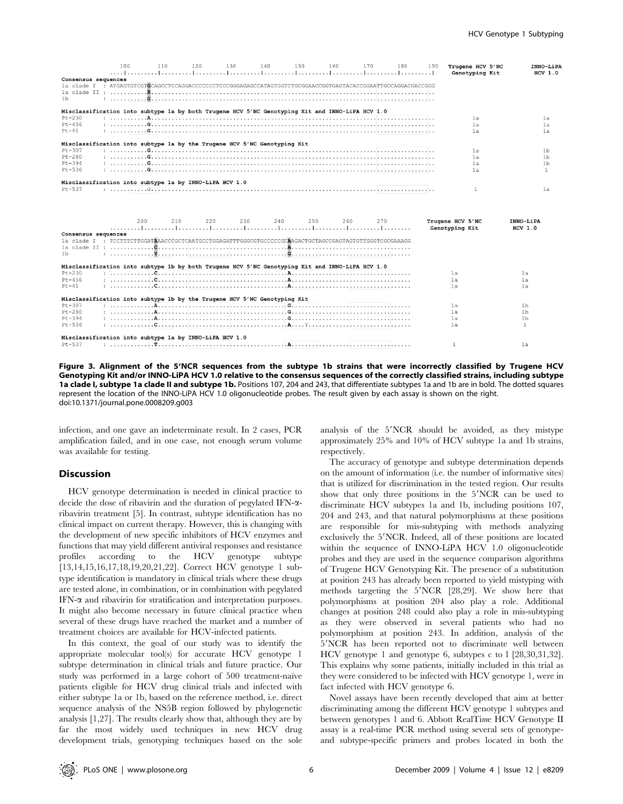|                                       | 100                                                                                                          | 110 | 120 | 130                                                                                             | 140 | 150 | 160 | 170 | 180 | 190 | Trugene HCV 5'NC<br>Genotyping Kit | INNO-LiP<br>HCV 1.0         |
|---------------------------------------|--------------------------------------------------------------------------------------------------------------|-----|-----|-------------------------------------------------------------------------------------------------|-----|-----|-----|-----|-----|-----|------------------------------------|-----------------------------|
| Consensus sequences                   |                                                                                                              |     |     |                                                                                                 |     |     |     |     |     |     |                                    |                             |
|                                       | 1a clade I : ATGAGTGTCGTCCAGCCTCCAGGACCCCCCCCCGGGAGAGCCATAGTGGTCTGCGGAACCGGTGAGTACACCGGAATTGCCAGGACGGCGG     |     |     |                                                                                                 |     |     |     |     |     |     |                                    |                             |
|                                       |                                                                                                              |     |     |                                                                                                 |     |     |     |     |     |     |                                    |                             |
| 1 <sub>b</sub>                        |                                                                                                              |     |     |                                                                                                 |     |     |     |     |     |     |                                    |                             |
|                                       |                                                                                                              |     |     |                                                                                                 |     |     |     |     |     |     |                                    |                             |
|                                       | Misclassification into subtype la by both Trugene HCV 5'NC Genotyping Kit and INNO-LiPA HCV 1.0              |     |     |                                                                                                 |     |     |     |     |     |     |                                    |                             |
| $Pt-230$                              |                                                                                                              |     |     |                                                                                                 |     |     |     |     |     |     | 1a                                 | 1a                          |
| $Pt-456$                              |                                                                                                              |     |     |                                                                                                 |     |     |     |     |     |     | 1a                                 | 1a                          |
| $Pt-41$                               |                                                                                                              |     |     |                                                                                                 |     |     |     |     |     |     | 1a                                 | 1a                          |
|                                       | Misclassification into subtype 1a by the Trugene HCV 5'NC Genotyping Kit                                     |     |     |                                                                                                 |     |     |     |     |     |     |                                    |                             |
| $Pt-307$                              |                                                                                                              |     |     |                                                                                                 |     |     |     |     |     |     | 1a                                 | 1 <sub>b</sub>              |
| $Pt-280$                              |                                                                                                              |     |     |                                                                                                 |     |     |     |     |     |     | 1a                                 | 1 <sub>b</sub>              |
| $Pt-394$                              |                                                                                                              |     |     |                                                                                                 |     |     |     |     |     |     | 1a                                 | 1 <sub>b</sub>              |
| $Pt-536$                              |                                                                                                              |     |     |                                                                                                 |     |     |     |     |     |     | 1a                                 | 1                           |
|                                       |                                                                                                              |     |     |                                                                                                 |     |     |     |     |     |     |                                    |                             |
|                                       | Misclassification into subtype 1a by INNO-LiPA HCV 1.0                                                       |     |     |                                                                                                 |     |     |     |     |     |     |                                    |                             |
| $Pt - 537$                            |                                                                                                              |     |     |                                                                                                 |     |     |     |     |     |     | $\mathbf{1}$                       | 1a                          |
| Consensus sequences<br>1 <sub>b</sub> | 200<br>1a clade I : TCCTTTCTTGGATAAACCCGCTCAATGCCTGGAGATTTGGGCGTGCCCCCCCAAGACTGCTAGCCGAGTAGTGTTGGGTCGCGAAAGG | 210 | 220 | 230                                                                                             | 240 | 250 | 260 | 270 |     |     | Trugene HCV 5'NC<br>Genotyping Kit | INNO-LiPA<br><b>HCV 1.0</b> |
|                                       | Misclassification into subtype 1b by both Trugene HCV 5'NC Genotyping Kit and INNO-LiPA HCV 1.0              |     |     |                                                                                                 |     |     |     |     |     |     |                                    |                             |
| $Pt-230$                              |                                                                                                              |     |     |                                                                                                 |     |     |     |     |     |     | 1a                                 | 1a                          |
| $Pt-456$                              |                                                                                                              |     |     |                                                                                                 |     |     |     |     |     |     | 1a                                 | 1a                          |
| $Pt-41$                               |                                                                                                              |     |     |                                                                                                 |     |     |     |     |     |     | 1a                                 | 1a                          |
|                                       | Misclassification into subtype 1b by the Trugene HCV 5'NC Genotyping Kit                                     |     |     |                                                                                                 |     |     |     |     |     |     |                                    |                             |
| $Pt-307$                              |                                                                                                              |     |     |                                                                                                 |     |     |     |     |     |     | 1a                                 | 1b                          |
| $Pt-280$                              |                                                                                                              |     |     |                                                                                                 |     |     |     |     |     |     | 1a                                 | 1 <sub>b</sub>              |
| $Pt-394$                              |                                                                                                              |     |     |                                                                                                 |     |     |     |     |     |     | 1a                                 | 1 <sub>b</sub>              |
| $Pt-536$                              |                                                                                                              |     |     |                                                                                                 |     |     |     |     |     |     | 1a                                 | 1                           |
|                                       | Misclassification into subtype 1a by INNO-LiPA HCV 1.0                                                       |     |     |                                                                                                 |     |     |     |     |     |     |                                    |                             |
| $Pt-537$                              |                                                                                                              |     |     | the contract of the contract of the contract of the contract of the contract of the contract of |     |     |     |     |     |     | $\mathbf{1}$                       | la                          |

Figure 3. Alignment of the 5'NCR sequences from the subtype 1b strains that were incorrectly classified by Trugene HCV Genotyping Kit and/or INNO-LiPA HCV 1.0 relative to the consensus sequences of the correctly classified strains, including subtype 1a clade I, subtype 1a clade II and subtype 1b. Positions 107, 204 and 243, that differentiate subtypes 1a and 1b are in bold. The dotted squares represent the location of the INNO-LiPA HCV 1.0 oligonucleotide probes. The result given by each assay is shown on the right. doi:10.1371/journal.pone.0008209.g003

infection, and one gave an indeterminate result. In 2 cases, PCR amplification failed, and in one case, not enough serum volume was available for testing.

#### **Discussion**

HCV genotype determination is needed in clinical practice to decide the dose of ribavirin and the duration of pegylated IFN-aribavirin treatment [5]. In contrast, subtype identification has no clinical impact on current therapy. However, this is changing with the development of new specific inhibitors of HCV enzymes and functions that may yield different antiviral responses and resistance profiles according to the HCV genotype subtype [13,14,15,16,17,18,19,20,21,22]. Correct HCV genotype 1 subtype identification is mandatory in clinical trials where these drugs are tested alone, in combination, or in combination with pegylated IFN- $\alpha$  and ribavirin for stratification and interpretation purposes. It might also become necessary in future clinical practice when several of these drugs have reached the market and a number of treatment choices are available for HCV-infected patients.

In this context, the goal of our study was to identify the appropriate molecular tool(s) for accurate HCV genotype 1 subtype determination in clinical trials and future practice. Our study was performed in a large cohort of 500 treatment-naïve patients eligible for HCV drug clinical trials and infected with either subtype 1a or 1b, based on the reference method, i.e. direct sequence analysis of the NS5B region followed by phylogenetic analysis [1,27]. The results clearly show that, although they are by far the most widely used techniques in new HCV drug development trials, genotyping techniques based on the sole

analysis of the 5'NCR should be avoided, as they mistype approximately 25% and 10% of HCV subtype 1a and 1b strains, respectively.

The accuracy of genotype and subtype determination depends on the amount of information (i.e. the number of informative sites) that is utilized for discrimination in the tested region. Our results show that only three positions in the 5'NCR can be used to discriminate HCV subtypes 1a and 1b, including positions 107, 204 and 243, and that natural polymorphisms at these positions are responsible for mis-subtyping with methods analyzing exclusively the 5'NCR. Indeed, all of these positions are located within the sequence of INNO-LiPA HCV 1.0 oligonucleotide probes and they are used in the sequence comparison algorithms of Trugene HCV Genotyping Kit. The presence of a substitution at position 243 has already been reported to yield mistyping with methods targeting the  $5'NCR$  [28,29]. We show here that polymorphisms at position 204 also play a role. Additional changes at position 248 could also play a role in mis-subtyping as they were observed in several patients who had no polymorphism at position 243. In addition, analysis of the 5'NCR has been reported not to discriminate well between HCV genotype 1 and genotype 6, subtypes c to l [28,30,31,32]. This explains why some patients, initially included in this trial as they were considered to be infected with HCV genotype 1, were in fact infected with HCV genotype 6.

Novel assays have been recently developed that aim at better discriminating among the different HCV genotype 1 subtypes and between genotypes 1 and 6. Abbott RealTime HCV Genotype II assay is a real-time PCR method using several sets of genotypeand subtype-specific primers and probes located in both the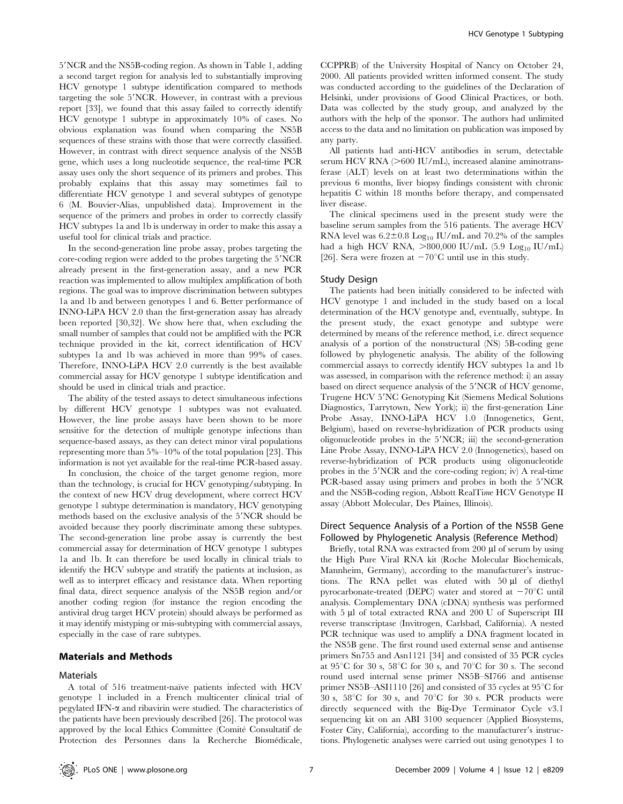5'NCR and the NS5B-coding region. As shown in Table 1, adding a second target region for analysis led to substantially improving HCV genotype 1 subtype identification compared to methods targeting the sole 5'NCR. However, in contrast with a previous report [33], we found that this assay failed to correctly identify HCV genotype 1 subtype in approximately 10% of cases. No obvious explanation was found when comparing the NS5B sequences of these strains with those that were correctly classified. However, in contrast with direct sequence analysis of the NS5B gene, which uses a long nucleotide sequence, the real-time PCR assay uses only the short sequence of its primers and probes. This probably explains that this assay may sometimes fail to differentiate HCV genotype 1 and several subtypes of genotype 6 (M. Bouvier-Alias, unpublished data). Improvement in the sequence of the primers and probes in order to correctly classify HCV subtypes 1a and 1b is underway in order to make this assay a useful tool for clinical trials and practice.

In the second-generation line probe assay, probes targeting the core-coding region were added to the probes targeting the 5'NCR already present in the first-generation assay, and a new PCR reaction was implemented to allow multiplex amplification of both regions. The goal was to improve discrimination between subtypes 1a and 1b and between genotypes 1 and 6. Better performance of INNO-LiPA HCV 2.0 than the first-generation assay has already been reported [30,32]. We show here that, when excluding the small number of samples that could not be amplified with the PCR technique provided in the kit, correct identification of HCV subtypes 1a and 1b was achieved in more than 99% of cases. Therefore, INNO-LiPA HCV 2.0 currently is the best available commercial assay for HCV genotype 1 subtype identification and should be used in clinical trials and practice.

The ability of the tested assays to detect simultaneous infections by different HCV genotype 1 subtypes was not evaluated. However, the line probe assays have been shown to be more sensitive for the detection of multiple genotype infections than sequence-based assays, as they can detect minor viral populations representing more than 5%–10% of the total population [23]. This information is not yet available for the real-time PCR-based assay.

In conclusion, the choice of the target genome region, more than the technology, is crucial for HCV genotyping/subtyping. In the context of new HCV drug development, where correct HCV genotype 1 subtype determination is mandatory, HCV genotyping methods based on the exclusive analysis of the 5'NCR should be avoided because they poorly discriminate among these subtypes. The second-generation line probe assay is currently the best commercial assay for determination of HCV genotype 1 subtypes 1a and 1b. It can therefore be used locally in clinical trials to identify the HCV subtype and stratify the patients at inclusion, as well as to interpret efficacy and resistance data. When reporting final data, direct sequence analysis of the NS5B region and/or another coding region (for instance the region encoding the antiviral drug target HCV protein) should always be performed as it may identify mistyping or mis-subtyping with commercial assays, especially in the case of rare subtypes.

#### Materials and Methods

#### Materials

A total of 516 treatment-naïve patients infected with HCV genotype 1 included in a French multicenter clinical trial of pegylated IFN- $\alpha$  and ribavirin were studied. The characteristics of the patients have been previously described [26]. The protocol was approved by the local Ethics Committee (Comite´ Consultatif de Protection des Personnes dans la Recherche Biomédicale,

CCPPRB) of the University Hospital of Nancy on October 24, 2000. All patients provided written informed consent. The study was conducted according to the guidelines of the Declaration of Helsinki, under provisions of Good Clinical Practices, or both. Data was collected by the study group, and analyzed by the authors with the help of the sponsor. The authors had unlimited access to the data and no limitation on publication was imposed by any party.

All patients had anti-HCV antibodies in serum, detectable serum HCV RNA  $(>600 \text{ IU/mL})$ , increased alanine aminotransferase (ALT) levels on at least two determinations within the previous 6 months, liver biopsy findings consistent with chronic hepatitis C within 18 months before therapy, and compensated liver disease.

The clinical specimens used in the present study were the baseline serum samples from the 516 patients. The average HCV RNA level was  $6.2 \pm 0.8$  Log<sub>10</sub> IU/mL and 70.2% of the samples had a high HCV RNA,  $>800,000$  IU/mL (5.9 Log<sub>10</sub> IU/mL) [26]. Sera were frozen at  $-70^{\circ}$ C until use in this study.

#### Study Design

The patients had been initially considered to be infected with HCV genotype 1 and included in the study based on a local determination of the HCV genotype and, eventually, subtype. In the present study, the exact genotype and subtype were determined by means of the reference method, i.e. direct sequence analysis of a portion of the nonstructural (NS) 5B-coding gene followed by phylogenetic analysis. The ability of the following commercial assays to correctly identify HCV subtypes 1a and 1b was assessed, in comparison with the reference method: i) an assay based on direct sequence analysis of the 5'NCR of HCV genome, Trugene HCV 5'NC Genotyping Kit (Siemens Medical Solutions Diagnostics, Tarrytown, New York); ii) the first-generation Line Probe Assay, INNO-LiPA HCV 1.0 (Innogenetics, Gent, Belgium), based on reverse-hybridization of PCR products using oligonucleotide probes in the  $5'NCR$ ; iii) the second-generation Line Probe Assay, INNO-LiPA HCV 2.0 (Innogenetics), based on reverse-hybridization of PCR products using oligonucleotide probes in the  $5'NCR$  and the core-coding region; iv) A real-time PCR-based assay using primers and probes in both the 5'NCR and the NS5B-coding region, Abbott RealTime HCV Genotype II assay (Abbott Molecular, Des Plaines, Illinois).

### Direct Sequence Analysis of a Portion of the NS5B Gene Followed by Phylogenetic Analysis (Reference Method)

Briefly, total RNA was extracted from 200 µl of serum by using the High Pure Viral RNA kit (Roche Molecular Biochemicals, Mannheim, Germany), according to the manufacturer's instructions. The RNA pellet was eluted with 50 µl of diethyl pyrocarbonate-treated (DEPC) water and stored at  $-70^{\circ}$ C until analysis. Complementary DNA (cDNA) synthesis was performed with 5 µl of total extracted RNA and 200 U of Superscript III reverse transcriptase (Invitrogen, Carlsbad, California). A nested PCR technique was used to amplify a DNA fragment located in the NS5B gene. The first round used external sense and antisense primers Sn755 and Asn1121 [34] and consisted of 35 PCR cycles at  $95^{\circ}$ C for 30 s,  $58^{\circ}$ C for 30 s, and  $70^{\circ}$ C for 30 s. The second round used internal sense primer NS5B–SI766 and antisense primer NS5B–ASI1110 [26] and consisted of 35 cycles at  $95^{\circ}$ C for 30 s,  $58^{\circ}$ C for 30 s, and  $70^{\circ}$ C for 30 s. PCR products were directly sequenced with the Big-Dye Terminator Cycle v3.1 sequencing kit on an ABI 3100 sequencer (Applied Biosystems, Foster City, California), according to the manufacturer's instructions. Phylogenetic analyses were carried out using genotypes 1 to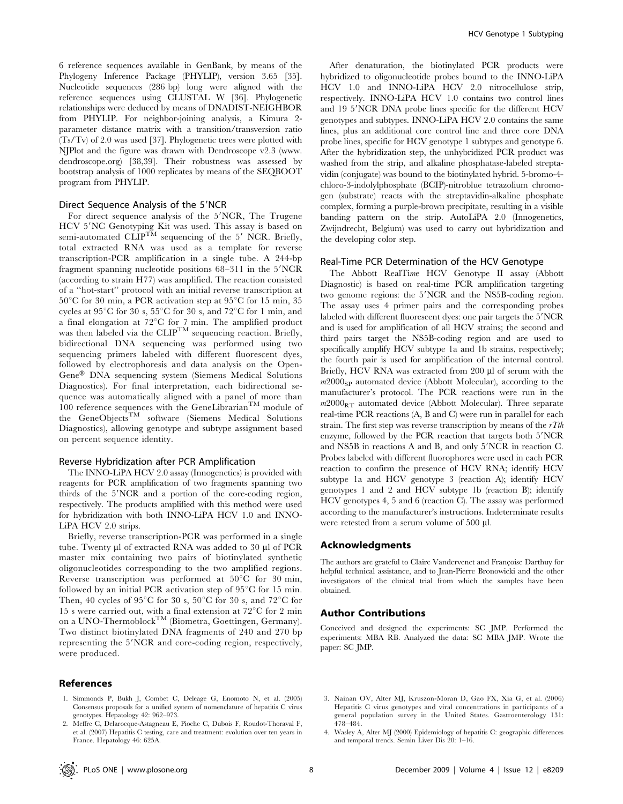6 reference sequences available in GenBank, by means of the Phylogeny Inference Package (PHYLIP), version 3.65 [35]. Nucleotide sequences (286 bp) long were aligned with the reference sequences using CLUSTAL W [36]. Phylogenetic relationships were deduced by means of DNADIST-NEIGHBOR from PHYLIP. For neighbor-joining analysis, a Kimura 2 parameter distance matrix with a transition/transversion ratio (Ts/Tv) of 2.0 was used [37]. Phylogenetic trees were plotted with NJPlot and the figure was drawn with Dendroscope v2.3 (www. dendroscope.org) [38,39]. Their robustness was assessed by bootstrap analysis of 1000 replicates by means of the SEQBOOT program from PHYLIP.

#### Direct Sequence Analysis of the 5'NCR

For direct sequence analysis of the 5'NCR, The Trugene HCV 5'NC Genotyping Kit was used. This assay is based on semi-automated  $\text{CLIP}^{\text{TM}}$  sequencing of the 5' NCR. Briefly, total extracted RNA was used as a template for reverse transcription-PCR amplification in a single tube. A 244-bp fragment spanning nucleotide positions  $68-311$  in the  $5'NCR$ (according to strain H77) was amplified. The reaction consisted of a ''hot-start'' protocol with an initial reverse transcription at  $50^{\circ}\mathrm{C}$  for 30 min, a PCR activation step at  $95^{\circ}\mathrm{C}$  for 15 min, 35 cycles at  $95^{\circ}$ C for 30 s,  $55^{\circ}$ C for 30 s, and  $72^{\circ}$ C for 1 min, and a final elongation at 72°C for 7 min. The amplified product was then labeled via the CLIP<sup>TM</sup> sequencing reaction. Briefly, bidirectional DNA sequencing was performed using two sequencing primers labeled with different fluorescent dyes, followed by electrophoresis and data analysis on the Open-Gene<sup>®</sup> DNA sequencing system (Siemens Medical Solutions Diagnostics). For final interpretation, each bidirectional sequence was automatically aligned with a panel of more than 100 reference sequences with the GeneLibrarian<sup>TM</sup> module of the GeneObjectsTM software (Siemens Medical Solutions Diagnostics), allowing genotype and subtype assignment based on percent sequence identity.

#### Reverse Hybridization after PCR Amplification

The INNO-LiPA HCV 2.0 assay (Innogenetics) is provided with reagents for PCR amplification of two fragments spanning two thirds of the 5'NCR and a portion of the core-coding region, respectively. The products amplified with this method were used for hybridization with both INNO-LiPA HCV 1.0 and INNO-LiPA HCV 2.0 strips.

Briefly, reverse transcription-PCR was performed in a single tube. Twenty µl of extracted RNA was added to 30 µl of PCR master mix containing two pairs of biotinylated synthetic oligonucleotides corresponding to the two amplified regions. Reverse transcription was performed at  $50^{\circ}$ C for 30 min, followed by an initial PCR activation step of  $95^{\circ}$ C for 15 min. Then, 40 cycles of 95 $\mathrm{^{\circ}C}$  for 30 s, 50 $\mathrm{^{\circ}C}$  for 30 s, and 72 $\mathrm{^{\circ}C}$  for 15 s were carried out, with a final extension at  $72^{\circ}$ C for 2 min on a UNO-ThermoblockTM (Biometra, Goettingen, Germany). Two distinct biotinylated DNA fragments of 240 and 270 bp representing the 5'NCR and core-coding region, respectively, were produced.

#### References

1. Simmonds P, Bukh J, Combet C, Deleage G, Enomoto N, et al. (2005) Consensus proposals for a unified system of nomenclature of hepatitis C virus genotypes. Hepatology 42: 962–973.

After denaturation, the biotinylated PCR products were hybridized to oligonucleotide probes bound to the INNO-LiPA HCV 1.0 and INNO-LiPA HCV 2.0 nitrocellulose strip, respectively. INNO-LiPA HCV 1.0 contains two control lines and 19 5'NCR DNA probe lines specific for the different HCV genotypes and subtypes. INNO-LiPA HCV 2.0 contains the same lines, plus an additional core control line and three core DNA probe lines, specific for HCV genotype 1 subtypes and genotype 6. After the hybridization step, the unhybridized PCR product was washed from the strip, and alkaline phosphatase-labeled streptavidin (conjugate) was bound to the biotinylated hybrid. 5-bromo-4 chloro-3-indolylphosphate (BCIP)-nitroblue tetrazolium chromogen (substrate) reacts with the streptavidin-alkaline phosphate complex, forming a purple-brown precipitate, resulting in a visible banding pattern on the strip. AutoLiPA 2.0 (Innogenetics, Zwijndrecht, Belgium) was used to carry out hybridization and the developing color step.

#### Real-Time PCR Determination of the HCV Genotype

The Abbott RealTime HCV Genotype II assay (Abbott Diagnostic) is based on real-time PCR amplification targeting two genome regions: the 5'NCR and the NS5B-coding region. The assay uses 4 primer pairs and the corresponding probes labeled with different fluorescent dyes: one pair targets the 5'NCR and is used for amplification of all HCV strains; the second and third pairs target the NS5B-coding region and are used to specifically amplify HCV subtype 1a and 1b strains, respectively; the fourth pair is used for amplification of the internal control. Briefly, HCV RNA was extracted from 200 µl of serum with the  $m2000<sub>SP</sub>$  automated device (Abbott Molecular), according to the manufacturer's protocol. The PCR reactions were run in the  $m2000<sub>RT</sub>$  automated device (Abbott Molecular). Three separate real-time PCR reactions (A, B and C) were run in parallel for each strain. The first step was reverse transcription by means of the  $rTth$ enzyme, followed by the PCR reaction that targets both 5'NCR and NS5B in reactions  $A$  and  $B$ , and only  $5'NCR$  in reaction  $C$ . Probes labeled with different fluorophores were used in each PCR reaction to confirm the presence of HCV RNA; identify HCV subtype 1a and HCV genotype 3 (reaction A); identify HCV genotypes 1 and 2 and HCV subtype 1b (reaction B); identify HCV genotypes 4, 5 and 6 (reaction C). The assay was performed according to the manufacturer's instructions. Indeterminate results were retested from a serum volume of 500  $\mu$ l.

#### Acknowledgments

The authors are grateful to Claire Vandervenet and Françoise Darthuy for helpful technical assistance, and to Jean-Pierre Bronowicki and the other investigators of the clinical trial from which the samples have been obtained.

#### Author Contributions

Conceived and designed the experiments: SC JMP. Performed the experiments: MBA RB. Analyzed the data: SC MBA JMP. Wrote the paper: SC JMP.

- 3. Nainan OV, Alter MJ, Kruszon-Moran D, Gao FX, Xia G, et al. (2006) Hepatitis C virus genotypes and viral concentrations in participants of a general population survey in the United States. Gastroenterology 131: 478–484.
- 4. Wasley A, Alter MJ (2000) Epidemiology of hepatitis C: geographic differences and temporal trends. Semin Liver Dis 20: 1–16.